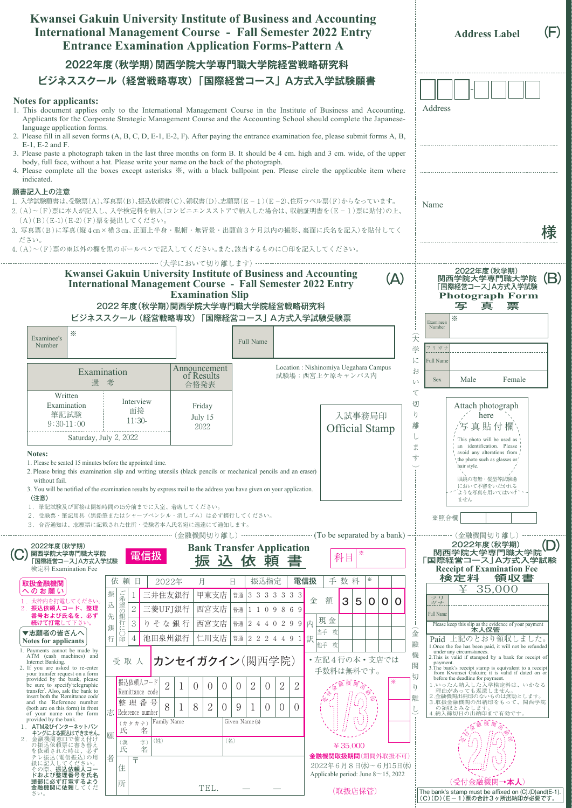| 2022年度(秋学期)関西学院大学専門職大学院経営戦略研究科<br>ビジネススクール (経営戦略専攻)「国際経営コース」A方式入学試験願書<br>Notes for applicants:<br>Address<br>1. This document applies only to the International Management Course in the Institute of Business and Accounting.<br>Applicants for the Corporate Strategic Management Course and the Accounting School should complete the Japanese-<br>language application forms.<br>2. Please fill in all seven forms (A, B, C, D, E-1, E-2, F). After paying the entrance examination fee, please submit forms A, B,<br>E-1, E-2 and F.<br>3. Please paste a photograph taken in the last three months on form B. It should be 4 cm. high and 3 cm. wide, of the upper<br>body, full face, without a hat. Please write your name on the back of the photograph.<br>4. Please complete all the boxes except asterisks *, with a black ballpoint pen. Please circle the applicable item where<br>indicated.<br>願書記入上の注意<br>1. 入学試験願書は、受験票(A)、写真票(B)、振込依頼書(C)、領収書(D)、志願票(E-1)(E-2)、住所ラベル票(F)からなっています。<br>Name<br>2. (A)~(F)票に本人が記入し、入学検定料を納入(コンビニエンスストアで納入した場合は、収納証明書を(E-1)票に貼付)の上、<br>(A)(B)(E-1)(E-2)(F)票を提出してください。<br>3. 写真票(B)に写真(縦4cm×横3cm、正面上半身・脱帽・無背景・出願前3ケ月以内の撮影、裏面に氏名を記入)を貼付してく<br>ださい。<br>4. (A)~(F)票の※以外の欄を黒のボールペンで記入してください。また、該当するものに○印を記入してください。<br>2022年度(秋学期)<br><b>Kwansei Gakuin University Institute of Business and Accounting</b><br>(A)<br>関西学院大学専門職大学院<br><b>International Management Course - Fall Semester 2022 Entry</b><br>「国際経営コース」A方式入学試験<br><b>Examination Slip</b><br><b>Photograph Form</b><br>2022年度(秋学期)関西学院大学専門職大学院経営戦略研究科<br>写<br>真<br>票<br>ビジネススクール (経営戦略専攻)「国際経営コース」A方式入学試験受験票<br>⋇<br>Examinee's<br>Number<br>⋇<br>$\widehat{\mathcal{F}}$<br>Examinee's<br>Full Name<br>Number<br>フリガナ<br>学<br>に<br><b>Full Name</b><br>Location : Nishinomiya Uegahara Campus<br>Announcement<br>お<br>Examination<br>試験場:西宮上ケ原キャンパス内<br>of Results<br>Male<br>Female<br><b>Sex</b><br>V<br>選考<br>合格発表<br>$\tau$<br>Written<br>Interview<br>切<br>Examination<br>Attach photograph<br>Friday<br>面接<br>筆記試験<br>ŋ<br>入試事務局印<br>here<br>July 15<br>$11:30-$<br>$9:30-11:00$<br>離<br>写真貼付欄<br>2022<br>Official Stamp<br>Saturday, July 2, 2022<br>This photo will be used as<br>an identification. Please<br>ま<br>avoid any alterations from<br>Notes:<br>寸<br>the photo such as glasses or.<br>1. Please be seated 15 minutes before the appointed time.<br>hair style.<br>2. Please bring this examination slip and writing utensils (black pencils or mechanical pencils and an eraser)<br>眼鏡の有無・髪型等試験場<br>without fail.<br>において不審をいだかれる<br>3. You will be notified of the examination results by express mail to the address you have given on your application.<br>ような写真を用いてはいけ<br>〈注意〉<br>ません<br>1. 筆記試験及び面接は開始時間の15分前までに入室、着席してください。<br>2. 受験票·筆記用具(黒鉛筆またはシャープペンシル·消しゴム)は必ず携行してください。<br>※照合欄<br>3. 合否通知は、志願票に記載された住所·受験者本人氏名宛に速達にて通知します。<br>2022年度 (秋学期)<br>2022年度(秋学期)<br><b>Bank Transfer Application</b><br>関西学院大学専門職大学院<br>関西学院大学専門職大学院<br>「国際経営コース」A方式入学試験<br>☀<br>電信扱<br>科目<br>振<br>頼<br>込<br>依<br>「国際経営コース」A方式入学試験<br><b>Receipt of Examination Fee</b><br>検定料 Examination Fee<br>検定料<br>領収書<br>⋇<br>振込指定<br>手数料<br>依頼日<br>電信扱<br>2022年<br>月<br>Ħ<br>取扱金融機関<br>35,000<br>¥<br>へのお願い<br>ご希望<br>振<br>三井住友銀行<br>甲東支店<br>  普通   3 3 3 3 3 3 3<br>1<br>フリ<br>額<br>3<br>金<br>5<br>0<br>0<br>O<br>1. 太枠内を打電してください。<br>ガナ<br>込<br>$\sqrt{2}$<br>2. 振込依頼人コード、整理<br>三菱UFJ銀行<br>西宮支店<br>普通 1 1 0 9 8 6 9<br> の銀行に、<br>Full Name<br>先<br>番号および氏名を、必ず<br>現金<br>$\mathbf{3}$<br>西宮支店<br>続けて打電して下さい。<br>りそな銀行<br>普通 2 4 4 0 2 9 9 内<br>Please keep this slip as the evidence of your payment<br>銀<br>本人保管<br>▼志願者の皆さんへ<br>当手 枚<br>金<br>U<br>行<br>仁川支店   普通   2 2 2 4 4 9 1   訳<br>池田泉州銀行<br>$\overline{4}$<br>Paid 上記のとおり領収しました。<br>印<br>Notes for applicants<br>融<br>他手 枚<br>1. Once the fee has been paid, it will not be refunded<br>1. Payments cannot be made by<br>under any circumstances.<br>機<br>ATM (cash machines) and<br>2. This is valid if stamped by a bank for receipt of<br>•左記4行の本·支店では<br>カンセイガクイン(関西学院)<br>受取人<br>Internet Banking.<br>payment.<br>3. The bank's receipt stamp is equivalent to a receipt<br>関<br>2. If you are asked to re-enter<br>手数料は無料です。<br>from Kwansei Gakuin; it is valid if dated on or<br>your transfer request on a form<br>切<br>before the deadline for payment.<br>provided by the bank, please<br>振込依頼人コード<br>☀<br>$\overline{2}$<br>$\overline{2}$<br>$\sqrt{2}$<br>1 いったん納入した入学検定料は、いかなる<br>理由があっても返還しません。<br>be sure to specify'telegraphic<br>2<br>$\overline{0}$<br>$\theta$<br>$\theta$<br>$\theta$<br>$\theta$<br>$\eta$<br>transfer'. Also, ask the bank to<br>Remittance code<br>insert both the 'Remittance code'<br>2.金融機関出納印のないものは無効とします。<br>離<br>整理番号<br>and the 'Reference number<br>3.取扱金融機関の出納印をもって、関西学院<br>8<br>$\sqrt{2}$<br>8<br>9<br>$\overline{0}$<br>$\theta$<br>1<br>$\overline{0}$<br>$\overline{0}$<br>の領収とみなします。<br>(both are on this form) in front<br>志 Reference number<br>4.納入締切日の出納印まで有効です。<br>of your name on the form<br>provided by the bank.<br>$(\,\operatorname{\mathcal{H}}\, \operatorname{\mathcal{H}}\, \operatorname{\mathcal{H}}\, \operatorname{\mathcal{H}}\, )$  <br>Family Name<br>Given Name(s)<br>1. ATM及びインターネットバン<br>名<br>氏<br>キングによる振込はできません。<br>願<br>金融機関窓口で備え付け<br>(姓)<br>(名)<br>$\left( \frac{1}{2} \right)$<br>(漢)<br>の振込依頼票に書き替え<br>¥ 35,000<br>名<br>氏<br>を依頼された時は、必ず<br>金融機関取扱期間(期間外取扱不可)<br>テレ振込(電信振込)の用<br>者<br>두 | Kwansei Gakuin University Institute of Business and Accounting<br><b>International Management Course - Fall Semester 2022 Entry</b><br><b>Entrance Examination Application Forms-Pattern A</b> |  |  |  |  |  |  |  |  | <b>Address Label</b> |  | (F) |
|--------------------------------------------------------------------------------------------------------------------------------------------------------------------------------------------------------------------------------------------------------------------------------------------------------------------------------------------------------------------------------------------------------------------------------------------------------------------------------------------------------------------------------------------------------------------------------------------------------------------------------------------------------------------------------------------------------------------------------------------------------------------------------------------------------------------------------------------------------------------------------------------------------------------------------------------------------------------------------------------------------------------------------------------------------------------------------------------------------------------------------------------------------------------------------------------------------------------------------------------------------------------------------------------------------------------------------------------------------------------------------------------------------------------------------------------------------------------------------------------------------------------------------------------------------------------------------------------------------------------------------------------------------------------------------------------------------------------------------------------------------------------------------------------------------------------------------------------------------------------------------------------------------------------------------------------------------------------------------------------------------------------------------------------------------------------------------------------------------------------------------------------------------------------------------------------------------------------------------------------------------------------------------------------------------------------------------------------------------------------------------------------------------------------------------------------------------------------------------------------------------------------------------------------------------------------------------------------------------------------------------------------------------------------------------------------------------------------------------------------------------------------------------------------------------------------------------------------------------------------------------------------------------------------------------------------------------------------------------------------------------------------------------------------------------------------------------------------------------------------------------------------------------------------------------------------------------------------------------------------------------------------------------------------------------------------------------------------------------------------------------------------------------------------------------------------------------------------------------------------------------------------------------------------------------------------------------------------------------------------------------------------------------------------------------------------------------------------------------------------------------------------------------------------------------------------------------------------------------------------------------------------------------------------------------------------------------------------------------------------------------------------------------------------------------------------------------------------------------------------------------------------------------------------------------------------------------------------------------------------------------------------------------------------------------------------------------------------------------------------------------------------------------------------------------------------------------------------------------------------------------------------------------------------------------------------------------------------------------------------------------------------------------------------------------------------------------------------------------------------------------------------------------------------------------------------------------------------------------------------------------------------------------------------------------------------------------------------------------------------------------------------------------------------------------------------------------------------------------------------------------------------------------------------------------------------------------------------------------------------------------------------------------------------------------------------------------------------------------------------------------------------------------------------------------------------------|------------------------------------------------------------------------------------------------------------------------------------------------------------------------------------------------|--|--|--|--|--|--|--|--|----------------------|--|-----|
|                                                                                                                                                                                                                                                                                                                                                                                                                                                                                                                                                                                                                                                                                                                                                                                                                                                                                                                                                                                                                                                                                                                                                                                                                                                                                                                                                                                                                                                                                                                                                                                                                                                                                                                                                                                                                                                                                                                                                                                                                                                                                                                                                                                                                                                                                                                                                                                                                                                                                                                                                                                                                                                                                                                                                                                                                                                                                                                                                                                                                                                                                                                                                                                                                                                                                                                                                                                                                                                                                                                                                                                                                                                                                                                                                                                                                                                                                                                                                                                                                                                                                                                                                                                                                                                                                                                                                                                                                                                                                                                                                                                                                                                                                                                                                                                                                                                                                                                                                                                                                                                                                                                                                                                                                                                                                                                                                                                                                                                  |                                                                                                                                                                                                |  |  |  |  |  |  |  |  |                      |  |     |
|                                                                                                                                                                                                                                                                                                                                                                                                                                                                                                                                                                                                                                                                                                                                                                                                                                                                                                                                                                                                                                                                                                                                                                                                                                                                                                                                                                                                                                                                                                                                                                                                                                                                                                                                                                                                                                                                                                                                                                                                                                                                                                                                                                                                                                                                                                                                                                                                                                                                                                                                                                                                                                                                                                                                                                                                                                                                                                                                                                                                                                                                                                                                                                                                                                                                                                                                                                                                                                                                                                                                                                                                                                                                                                                                                                                                                                                                                                                                                                                                                                                                                                                                                                                                                                                                                                                                                                                                                                                                                                                                                                                                                                                                                                                                                                                                                                                                                                                                                                                                                                                                                                                                                                                                                                                                                                                                                                                                                                                  |                                                                                                                                                                                                |  |  |  |  |  |  |  |  |                      |  |     |
|                                                                                                                                                                                                                                                                                                                                                                                                                                                                                                                                                                                                                                                                                                                                                                                                                                                                                                                                                                                                                                                                                                                                                                                                                                                                                                                                                                                                                                                                                                                                                                                                                                                                                                                                                                                                                                                                                                                                                                                                                                                                                                                                                                                                                                                                                                                                                                                                                                                                                                                                                                                                                                                                                                                                                                                                                                                                                                                                                                                                                                                                                                                                                                                                                                                                                                                                                                                                                                                                                                                                                                                                                                                                                                                                                                                                                                                                                                                                                                                                                                                                                                                                                                                                                                                                                                                                                                                                                                                                                                                                                                                                                                                                                                                                                                                                                                                                                                                                                                                                                                                                                                                                                                                                                                                                                                                                                                                                                                                  |                                                                                                                                                                                                |  |  |  |  |  |  |  |  |                      |  |     |
|                                                                                                                                                                                                                                                                                                                                                                                                                                                                                                                                                                                                                                                                                                                                                                                                                                                                                                                                                                                                                                                                                                                                                                                                                                                                                                                                                                                                                                                                                                                                                                                                                                                                                                                                                                                                                                                                                                                                                                                                                                                                                                                                                                                                                                                                                                                                                                                                                                                                                                                                                                                                                                                                                                                                                                                                                                                                                                                                                                                                                                                                                                                                                                                                                                                                                                                                                                                                                                                                                                                                                                                                                                                                                                                                                                                                                                                                                                                                                                                                                                                                                                                                                                                                                                                                                                                                                                                                                                                                                                                                                                                                                                                                                                                                                                                                                                                                                                                                                                                                                                                                                                                                                                                                                                                                                                                                                                                                                                                  |                                                                                                                                                                                                |  |  |  |  |  |  |  |  |                      |  | (B) |
|                                                                                                                                                                                                                                                                                                                                                                                                                                                                                                                                                                                                                                                                                                                                                                                                                                                                                                                                                                                                                                                                                                                                                                                                                                                                                                                                                                                                                                                                                                                                                                                                                                                                                                                                                                                                                                                                                                                                                                                                                                                                                                                                                                                                                                                                                                                                                                                                                                                                                                                                                                                                                                                                                                                                                                                                                                                                                                                                                                                                                                                                                                                                                                                                                                                                                                                                                                                                                                                                                                                                                                                                                                                                                                                                                                                                                                                                                                                                                                                                                                                                                                                                                                                                                                                                                                                                                                                                                                                                                                                                                                                                                                                                                                                                                                                                                                                                                                                                                                                                                                                                                                                                                                                                                                                                                                                                                                                                                                                  |                                                                                                                                                                                                |  |  |  |  |  |  |  |  |                      |  |     |
|                                                                                                                                                                                                                                                                                                                                                                                                                                                                                                                                                                                                                                                                                                                                                                                                                                                                                                                                                                                                                                                                                                                                                                                                                                                                                                                                                                                                                                                                                                                                                                                                                                                                                                                                                                                                                                                                                                                                                                                                                                                                                                                                                                                                                                                                                                                                                                                                                                                                                                                                                                                                                                                                                                                                                                                                                                                                                                                                                                                                                                                                                                                                                                                                                                                                                                                                                                                                                                                                                                                                                                                                                                                                                                                                                                                                                                                                                                                                                                                                                                                                                                                                                                                                                                                                                                                                                                                                                                                                                                                                                                                                                                                                                                                                                                                                                                                                                                                                                                                                                                                                                                                                                                                                                                                                                                                                                                                                                                                  |                                                                                                                                                                                                |  |  |  |  |  |  |  |  |                      |  |     |
|                                                                                                                                                                                                                                                                                                                                                                                                                                                                                                                                                                                                                                                                                                                                                                                                                                                                                                                                                                                                                                                                                                                                                                                                                                                                                                                                                                                                                                                                                                                                                                                                                                                                                                                                                                                                                                                                                                                                                                                                                                                                                                                                                                                                                                                                                                                                                                                                                                                                                                                                                                                                                                                                                                                                                                                                                                                                                                                                                                                                                                                                                                                                                                                                                                                                                                                                                                                                                                                                                                                                                                                                                                                                                                                                                                                                                                                                                                                                                                                                                                                                                                                                                                                                                                                                                                                                                                                                                                                                                                                                                                                                                                                                                                                                                                                                                                                                                                                                                                                                                                                                                                                                                                                                                                                                                                                                                                                                                                                  |                                                                                                                                                                                                |  |  |  |  |  |  |  |  |                      |  |     |
|                                                                                                                                                                                                                                                                                                                                                                                                                                                                                                                                                                                                                                                                                                                                                                                                                                                                                                                                                                                                                                                                                                                                                                                                                                                                                                                                                                                                                                                                                                                                                                                                                                                                                                                                                                                                                                                                                                                                                                                                                                                                                                                                                                                                                                                                                                                                                                                                                                                                                                                                                                                                                                                                                                                                                                                                                                                                                                                                                                                                                                                                                                                                                                                                                                                                                                                                                                                                                                                                                                                                                                                                                                                                                                                                                                                                                                                                                                                                                                                                                                                                                                                                                                                                                                                                                                                                                                                                                                                                                                                                                                                                                                                                                                                                                                                                                                                                                                                                                                                                                                                                                                                                                                                                                                                                                                                                                                                                                                                  |                                                                                                                                                                                                |  |  |  |  |  |  |  |  |                      |  |     |
|                                                                                                                                                                                                                                                                                                                                                                                                                                                                                                                                                                                                                                                                                                                                                                                                                                                                                                                                                                                                                                                                                                                                                                                                                                                                                                                                                                                                                                                                                                                                                                                                                                                                                                                                                                                                                                                                                                                                                                                                                                                                                                                                                                                                                                                                                                                                                                                                                                                                                                                                                                                                                                                                                                                                                                                                                                                                                                                                                                                                                                                                                                                                                                                                                                                                                                                                                                                                                                                                                                                                                                                                                                                                                                                                                                                                                                                                                                                                                                                                                                                                                                                                                                                                                                                                                                                                                                                                                                                                                                                                                                                                                                                                                                                                                                                                                                                                                                                                                                                                                                                                                                                                                                                                                                                                                                                                                                                                                                                  |                                                                                                                                                                                                |  |  |  |  |  |  |  |  |                      |  |     |
| 2022年6月8日(水)~6月15日(水)<br>住<br>その際、振込依頼人コー<br>Applicable period: June $8 \sim 15$ , 2022<br>ドおよび整理番号を氏名<br>(受付金融機関→本人)<br>頭部に必ず打電するよう<br>所<br>金融機関に依頼してくだ<br>TEL.                                                                                                                                                                                                                                                                                                                                                                                                                                                                                                                                                                                                                                                                                                                                                                                                                                                                                                                                                                                                                                                                                                                                                                                                                                                                                                                                                                                                                                                                                                                                                                                                                                                                                                                                                                                                                                                                                                                                                                                                                                                                                                                                                                                                                                                                                                                                                                                                                                                                                                                                                                                                                                                                                                                                                                                                                                                                                                                                                                                                                                                                                                                                                                                                                                                                                                                                                                                                                                                                                                                                                                                                                                                                                                                                                                                                                                                                                                                                                                                                                                                                                                                                                                                                                                                                                                                                                                                                                                                                                                                                                                                                                                                                                                                                                                                                                                                                                                                                                                                                                                                                                                                                                                                                                                                                                 | 紙に記入してください。                                                                                                                                                                                    |  |  |  |  |  |  |  |  |                      |  |     |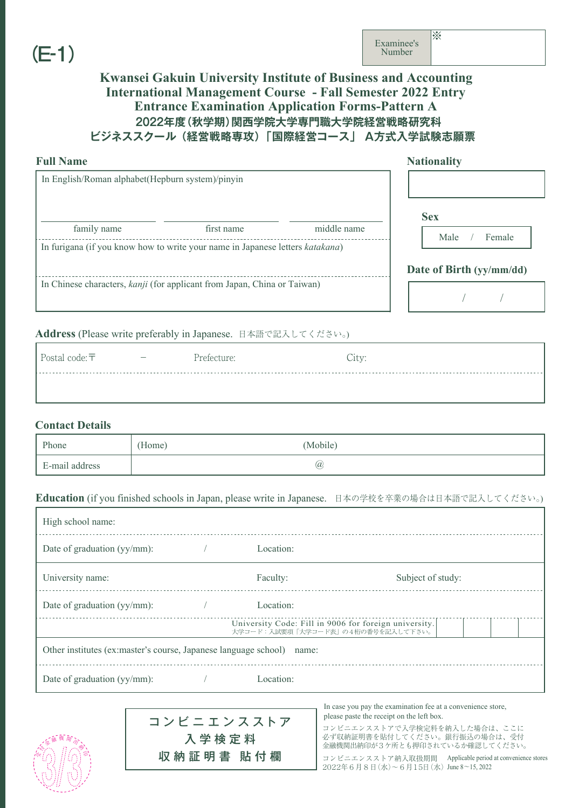# (E-1)

### **2022年度(秋学期)関西学院大学専門職大学院経営戦略研究科 ビジネススクール (経営戦略専攻) 「国際経営コース」 A方式入学試験志願票 Kwansei Gakuin University Institute of Business and Accounting International Management Course - Fall Semester 2022 Entry Entrance Examination Application Forms-Pattern A**

| <b>Full Name</b>                                                              | <b>Nationality</b>                         |             |            |
|-------------------------------------------------------------------------------|--------------------------------------------|-------------|------------|
| In English/Roman alphabet(Hepburn system)/pinyin<br>family name               | first name                                 | middle name | <b>Sex</b> |
| In furigana (if you know how to write your name in Japanese letters katakana) | Male<br>Female<br>Date of Birth (yy/mm/dd) |             |            |
| In Chinese characters, kanji (for applicant from Japan, China or Taiwan)      |                                            |             |            |

#### **Address** (Please write preferably in Japanese. 日本語で記入してください。)

| Postal code: $\bar{\tau}$ | Prefecture: | City: |  |
|---------------------------|-------------|-------|--|
|                           |             |       |  |

#### **Contact Details**

受

人家<sup>融機 関</sup>安、

印

| Phone          | (Home) | (Mobile) |  |
|----------------|--------|----------|--|
| E-mail address |        | (a)      |  |

#### **Education** (if you finished schools in Japan, please write in Japanese. 日本の学校を卒業の場合は日本語で記入してください。)

| High school name:                                                     |  |                                                                                            |                   |  |  |
|-----------------------------------------------------------------------|--|--------------------------------------------------------------------------------------------|-------------------|--|--|
| Date of graduation (yy/mm):                                           |  | Location:                                                                                  |                   |  |  |
| University name:                                                      |  | Faculty:                                                                                   | Subject of study: |  |  |
| Date of graduation (yy/mm):                                           |  | Location:                                                                                  |                   |  |  |
|                                                                       |  | University Code: Fill in 9006 for foreign university.<br>大学コード:入試要項「大学コード表」の4桁の番号を記入して下さい。 |                   |  |  |
| Other institutes (ex:master's course, Japanese language school) name: |  |                                                                                            |                   |  |  |
| Date of graduation (yy/mm):                                           |  | Location:                                                                                  |                   |  |  |